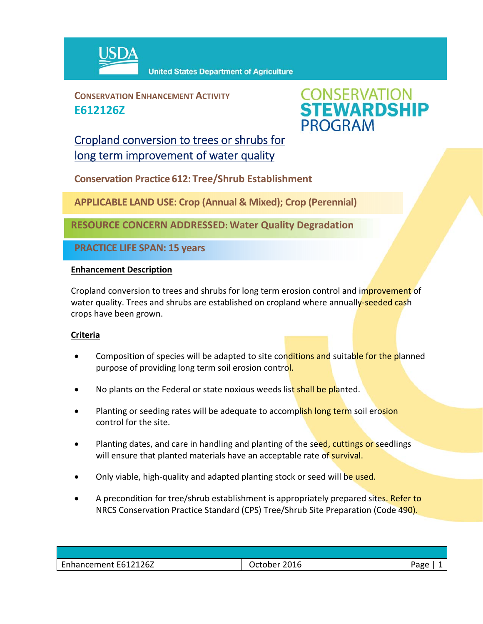

**CONSERVATION ENHANCEMENT ACTIVITY E612126Z**



## Cropland conversion to trees or shrubs for long term improvement of water quality

**Conservation Practice 612: Tree/Shrub Establishment**

**APPLICABLE LAND USE: Crop (Annual & Mixed); Crop (Perennial)**

**RESOURCE CONCERN ADDRESSED: Water Quality Degradation**

**PRACTICE LIFE SPAN: 15 years**

## **Enhancement Description**

Cropland conversion to trees and shrubs for long term erosion control and improvement of water quality. Trees and shrubs are established on cropland where annually-seeded cash crops have been grown.

## **Criteria**

- Composition of species will be adapted to site conditions and suitable for the planned purpose of providing long term soil erosion control.
- No plants on the Federal or state noxious weeds list shall be planted.
- Planting or seeding rates will be adequate to accomplish long term soil erosion control for the site.
- Planting dates, and care in handling and planting of the seed, cuttings or seedlings will ensure that planted materials have an acceptable rate of survival.
- Only viable, high-quality and adapted planting stock or seed will be used.
- A precondition for tree/shrub establishment is appropriately prepared sites. Refer to NRCS Conservation Practice Standard (CPS) Tree/Shrub Site Preparation (Code 490).

| Enhancement E612126Z | 2016<br>ctober<br>ĸ | ാദരല<br>ם |
|----------------------|---------------------|-----------|